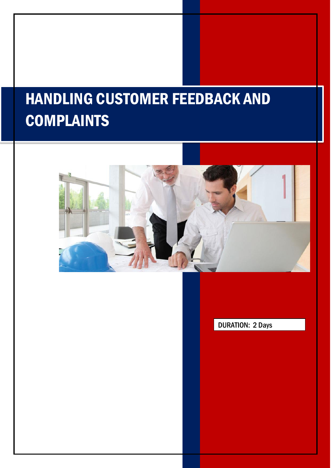# HANDLING CUSTOMER FEEDBACK AND **COMPLAINTS**



l

DURATION: 2 Days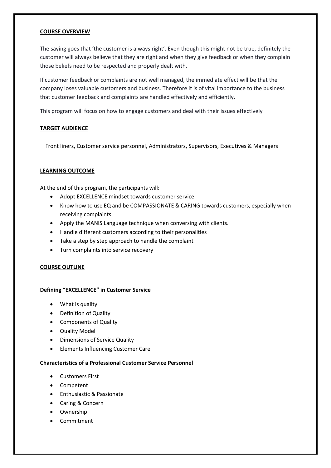#### **COURSE OVERVIEW**

The saying goes that 'the customer is always right'. Even though this might not be true, definitely the customer will always believe that they are right and when they give feedback or when they complain those beliefs need to be respected and properly dealt with.

If customer feedback or complaints are not well managed, the immediate effect will be that the company loses valuable customers and business. Therefore it is of vital importance to the business that customer feedback and complaints are handled effectively and efficiently.

This program will focus on how to engage customers and deal with their issues effectively

#### **TARGET AUDIENCE**

Front liners, Customer service personnel, Administrators, Supervisors, Executives & Managers

#### **LEARNING OUTCOME**

At the end of this program, the participants will:

- Adopt EXCELLENCE mindset towards customer service
- Know how to use EQ and be COMPASSIONATE & CARING towards customers, especially when receiving complaints.
- Apply the MANIS Language technique when conversing with clients.
- Handle different customers according to their personalities
- Take a step by step approach to handle the complaint
- Turn complaints into service recovery

# **COURSE OUTLINE**

# **Defining "EXCELLENCE" in Customer Service**

- What is quality
- Definition of Quality
- Components of Quality
- Quality Model
- Dimensions of Service Quality
- Elements Influencing Customer Care

#### **Characteristics of a Professional Customer Service Personnel**

- Customers First
- Competent
- Enthusiastic & Passionate
- Caring & Concern
- Ownership
- Commitment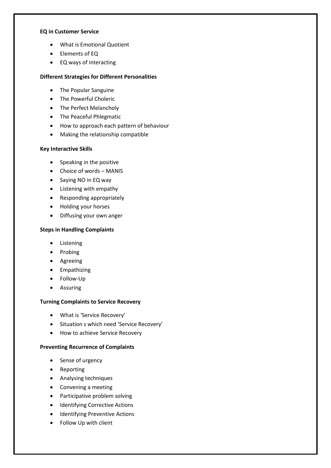#### **EQ in Customer Service**

- What is Emotional Quotient
- Elements of EQ
- EQ ways of interacting

# **Different Strategies for Different Personalities**

- The Popular Sanguine
- The Powerful Choleric
- The Perfect Melancholy
- The Peaceful Phlegmatic
- How to approach each pattern of behaviour
- Making the relationship compatible

# **Key Interactive Skills**

- Speaking in the positive
- Choice of words MANIS
- Saying NO in EQ way
- Listening with empathy
- Responding appropriately
- Holding your horses
- Diffusing your own anger

# **Steps in Handling Complaints**

- Listening
- Probing
- Agreeing
- Empathizing
- Follow-Up
- Assuring

# **Turning Complaints to Service Recovery**

- What is 'Service Recovery'
- Situation s which need 'Service Recovery'
- How to achieve Service Recovery

# **Preventing Recurrence of Complaints**

- Sense of urgency
- Reporting
- Analysing techniques
- Convening a meeting
- Participative problem solving
- Identifying Corrective Actions
- Identifying Preventive Actions
- Follow Up with client